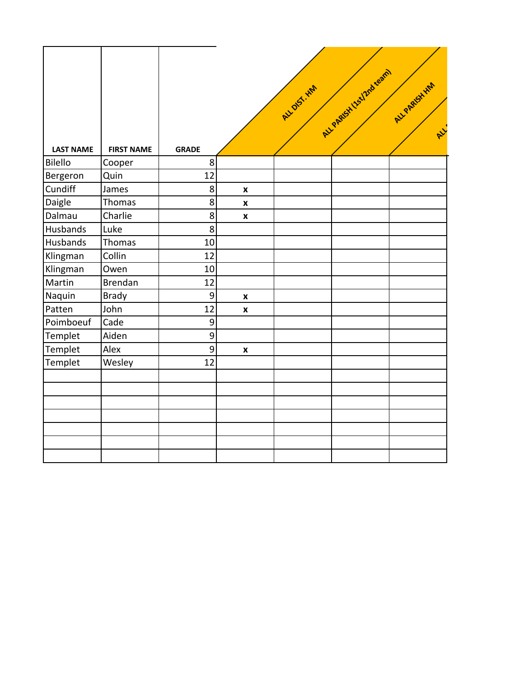| <b>LAST NAME</b> | <b>FIRST NAME</b> | <b>GRADE</b>     |                    | ALL DIST. HWY | ALL PARISH ISSIDE REGIM | ALL PARSHHAM<br>R |
|------------------|-------------------|------------------|--------------------|---------------|-------------------------|-------------------|
| Bilello          | Cooper            | $\bf 8$          |                    |               |                         |                   |
| Bergeron         | Quin              | 12               |                    |               |                         |                   |
| Cundiff          | James             | $\bf 8$          | $\pmb{\mathsf{x}}$ |               |                         |                   |
| Daigle           | Thomas            | $\bf{8}$         | $\pmb{\mathsf{x}}$ |               |                         |                   |
| Dalmau           | Charlie           | 8 <sup>1</sup>   | $\pmb{\mathsf{x}}$ |               |                         |                   |
| Husbands         | Luke              | $\boldsymbol{8}$ |                    |               |                         |                   |
| Husbands         | Thomas            | 10               |                    |               |                         |                   |
| Klingman         | Collin            | 12               |                    |               |                         |                   |
| Klingman         | Owen              | 10               |                    |               |                         |                   |
| Martin           | Brendan           | 12               |                    |               |                         |                   |
| Naquin           | <b>Brady</b>      | $\vert 9 \vert$  | $\pmb{\mathsf{x}}$ |               |                         |                   |
| Patten           | John              | 12               | $\pmb{\mathsf{x}}$ |               |                         |                   |
| Poimboeuf        | Cade              | 9                |                    |               |                         |                   |
| Templet          | Aiden             | $\mathbf{g}$     |                    |               |                         |                   |
| Templet          | Alex              | $\vert 9 \vert$  | $\pmb{\mathsf{x}}$ |               |                         |                   |
| Templet          | Wesley            | 12               |                    |               |                         |                   |
|                  |                   |                  |                    |               |                         |                   |
|                  |                   |                  |                    |               |                         |                   |
|                  |                   |                  |                    |               |                         |                   |
|                  |                   |                  |                    |               |                         |                   |
|                  |                   |                  |                    |               |                         |                   |
|                  |                   |                  |                    |               |                         |                   |
|                  |                   |                  |                    |               |                         |                   |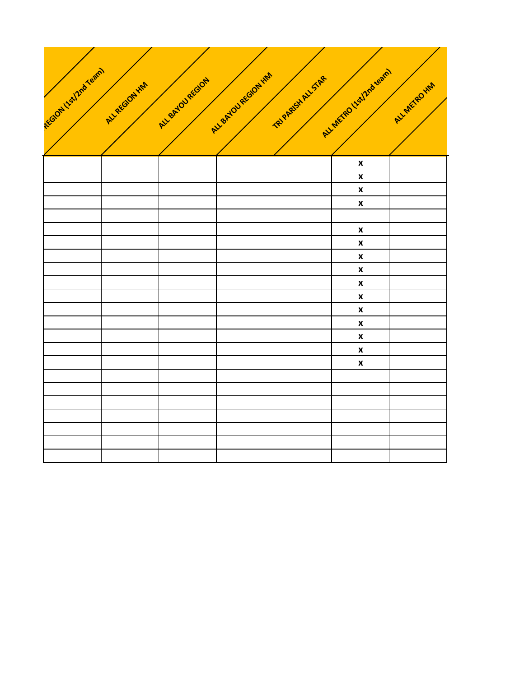

|  |  | $\pmb{\mathsf{x}}$ |  |
|--|--|--------------------|--|
|  |  | $\pmb{\mathsf{x}}$ |  |
|  |  | $\pmb{\mathsf{x}}$ |  |
|  |  | $\pmb{\mathsf{x}}$ |  |
|  |  |                    |  |
|  |  | $\pmb{\mathsf{x}}$ |  |
|  |  | $\pmb{\mathsf{x}}$ |  |
|  |  | $\pmb{\mathsf{x}}$ |  |
|  |  | $\pmb{\mathsf{x}}$ |  |
|  |  |                    |  |
|  |  | $\pmb{\mathsf{x}}$ |  |
|  |  | $\pmb{\mathsf{x}}$ |  |
|  |  | $\pmb{\mathsf{x}}$ |  |
|  |  | $\pmb{\mathsf{x}}$ |  |
|  |  | $\pmb{\mathsf{x}}$ |  |
|  |  | $\pmb{\mathsf{x}}$ |  |
|  |  | $\pmb{\mathsf{x}}$ |  |
|  |  |                    |  |
|  |  |                    |  |
|  |  |                    |  |
|  |  |                    |  |
|  |  |                    |  |
|  |  |                    |  |
|  |  |                    |  |
|  |  |                    |  |